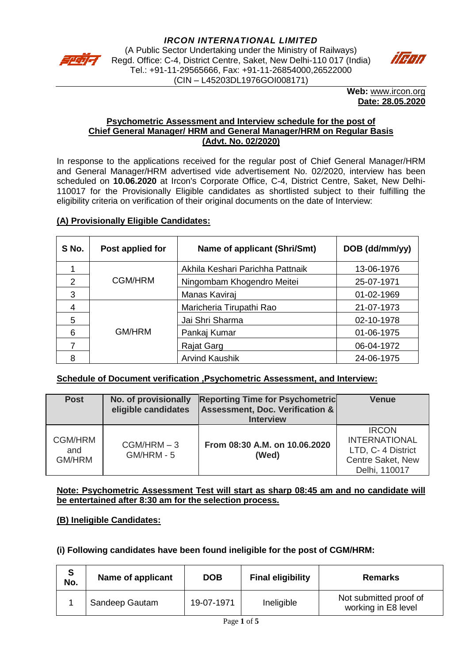



**Web:** [www.ircon.org](http://www.ircon.org/) **Date: 28.05.2020**

#### **Psychometric Assessment and Interview schedule for the post of Chief General Manager/ HRM and General Manager/HRM on Regular Basis (Advt. No. 02/2020)**

In response to the applications received for the regular post of Chief General Manager/HRM and General Manager/HRM advertised vide advertisement No. 02/2020, interview has been scheduled on **10.06.2020** at Ircon's Corporate Office, C-4, District Centre, Saket, New Delhi-110017 for the Provisionally Eligible candidates as shortlisted subject to their fulfilling the eligibility criteria on verification of their original documents on the date of Interview:

## **(A) Provisionally Eligible Candidates:**

| S No. | Post applied for | <b>Name of applicant (Shri/Smt)</b> | DOB (dd/mm/yy) |
|-------|------------------|-------------------------------------|----------------|
|       |                  | Akhila Keshari Parichha Pattnaik    | 13-06-1976     |
| 2     | CGM/HRM          | Ningombam Khogendro Meitei          | 25-07-1971     |
| 3     |                  | Manas Kaviraj                       | 01-02-1969     |
| 4     |                  | Maricheria Tirupathi Rao            | 21-07-1973     |
| 5     |                  | Jai Shri Sharma                     | 02-10-1978     |
| 6     | GM/HRM           | Pankaj Kumar                        | 01-06-1975     |
|       |                  | Rajat Garg                          | 06-04-1972     |
| 8     |                  | <b>Arvind Kaushik</b>               | 24-06-1975     |

#### **Schedule of Document verification ,Psychometric Assessment, and Interview:**

| <b>Post</b>                            | No. of provisionally<br>eligible candidates | <b>Reporting Time for Psychometric</b><br>Assessment, Doc. Verification &<br><b>Interview</b> | <b>Venue</b>                                                                                     |
|----------------------------------------|---------------------------------------------|-----------------------------------------------------------------------------------------------|--------------------------------------------------------------------------------------------------|
| <b>CGM/HRM</b><br>and<br><b>GM/HRM</b> | $CGM/HRM - 3$<br>GM/HRM - 5                 | From 08:30 A.M. on 10.06.2020<br>(Wed)                                                        | <b>IRCON</b><br><b>INTERNATIONAL</b><br>LTD, C- 4 District<br>Centre Saket, New<br>Delhi, 110017 |

#### **Note: Psychometric Assessment Test will start as sharp 08:45 am and no candidate will be entertained after 8:30 am for the selection process.**

# **(B) Ineligible Candidates:**

#### **(i) Following candidates have been found ineligible for the post of CGM/HRM:**

| S<br>No. | Name of applicant | <b>DOB</b> | <b>Final eligibility</b> | <b>Remarks</b>                                |
|----------|-------------------|------------|--------------------------|-----------------------------------------------|
|          | Sandeep Gautam    | 19-07-1971 | Ineligible               | Not submitted proof of<br>working in E8 level |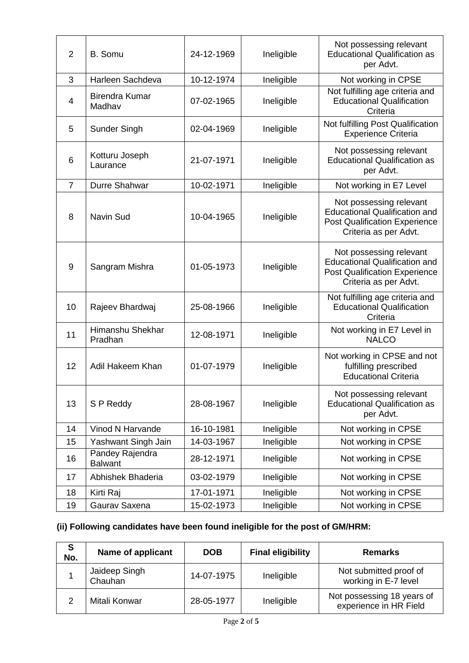| $\overline{2}$ | <b>B.</b> Somu                    | 24-12-1969 | Ineligible | Not possessing relevant<br><b>Educational Qualification as</b><br>per Advt.                                                      |
|----------------|-----------------------------------|------------|------------|----------------------------------------------------------------------------------------------------------------------------------|
| 3              | Harleen Sachdeva                  | 10-12-1974 | Ineligible | Not working in CPSE                                                                                                              |
| 4              | <b>Birendra Kumar</b><br>Madhav   | 07-02-1965 | Ineligible | Not fulfilling age criteria and<br><b>Educational Qualification</b><br>Criteria                                                  |
| 5              | <b>Sunder Singh</b>               | 02-04-1969 | Ineligible | Not fulfilling Post Qualification<br><b>Experience Criteria</b>                                                                  |
| 6              | Kotturu Joseph<br>Laurance        | 21-07-1971 | Ineligible | Not possessing relevant<br><b>Educational Qualification as</b><br>per Advt.                                                      |
| $\overline{7}$ | Durre Shahwar                     | 10-02-1971 | Ineligible | Not working in E7 Level                                                                                                          |
| 8              | <b>Navin Sud</b>                  | 10-04-1965 | Ineligible | Not possessing relevant<br><b>Educational Qualification and</b><br><b>Post Qualification Experience</b><br>Criteria as per Advt. |
| 9              | Sangram Mishra                    | 01-05-1973 | Ineligible | Not possessing relevant<br><b>Educational Qualification and</b><br><b>Post Qualification Experience</b><br>Criteria as per Advt. |
| 10             | Rajeev Bhardwaj                   | 25-08-1966 | Ineligible | Not fulfilling age criteria and<br><b>Educational Qualification</b><br>Criteria                                                  |
| 11             | Himanshu Shekhar<br>Pradhan       | 12-08-1971 | Ineligible | Not working in E7 Level in<br><b>NALCO</b>                                                                                       |
| 12             | Adil Hakeem Khan                  | 01-07-1979 | Ineligible | Not working in CPSE and not<br>fulfilling prescribed<br><b>Educational Criteria</b>                                              |
| 13             | S P Reddy                         | 28-08-1967 | Ineligible | Not possessing relevant<br><b>Educational Qualification as</b><br>per Advt.                                                      |
| 14             | Vinod N Harvande                  | 16-10-1981 | Ineligible | Not working in CPSE                                                                                                              |
| 15             | Yashwant Singh Jain               | 14-03-1967 | Ineligible | Not working in CPSE                                                                                                              |
| 16             | Pandey Rajendra<br><b>Balwant</b> | 28-12-1971 | Ineligible | Not working in CPSE                                                                                                              |
| 17             | Abhishek Bhaderia                 | 03-02-1979 | Ineligible | Not working in CPSE                                                                                                              |
| 18             | Kirti Raj                         | 17-01-1971 | Ineligible | Not working in CPSE                                                                                                              |
| 19             | Gaurav Saxena                     | 15-02-1973 | Ineligible | Not working in CPSE                                                                                                              |

# **(ii) Following candidates have been found ineligible for the post of GM/HRM:**

| S<br>No. | <b>Name of applicant</b> | <b>DOB</b> | <b>Final eligibility</b> | <b>Remarks</b>                                       |
|----------|--------------------------|------------|--------------------------|------------------------------------------------------|
|          | Jaideep Singh<br>Chauhan | 14-07-1975 | Ineligible               | Not submitted proof of<br>working in E-7 level       |
|          | Mitali Konwar            | 28-05-1977 | Ineligible               | Not possessing 18 years of<br>experience in HR Field |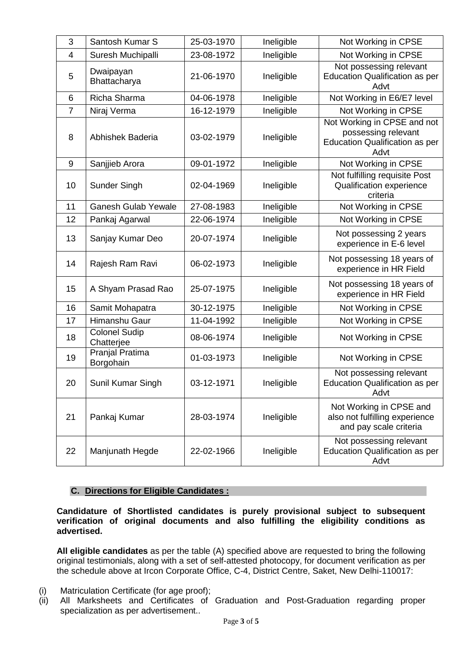| 3  | Santosh Kumar S                    | 25-03-1970 | Ineligible | Not Working in CPSE                                                                                 |
|----|------------------------------------|------------|------------|-----------------------------------------------------------------------------------------------------|
| 4  | Suresh Muchipalli                  | 23-08-1972 | Ineligible | Not Working in CPSE                                                                                 |
| 5  | Dwaipayan<br>Bhattacharya          | 21-06-1970 | Ineligible | Not possessing relevant<br><b>Education Qualification as per</b><br>Advt                            |
| 6  | Richa Sharma                       | 04-06-1978 | Ineligible | Not Working in E6/E7 level                                                                          |
| 7  | Niraj Verma                        | 16-12-1979 | Ineligible | Not Working in CPSE                                                                                 |
| 8  | Abhishek Baderia                   | 03-02-1979 | Ineligible | Not Working in CPSE and not<br>possessing relevant<br><b>Education Qualification as per</b><br>Advt |
| 9  | Sanjjieb Arora                     | 09-01-1972 | Ineligible | Not Working in CPSE                                                                                 |
| 10 | Sunder Singh                       | 02-04-1969 | Ineligible | Not fulfilling requisite Post<br>Qualification experience<br>criteria                               |
| 11 | <b>Ganesh Gulab Yewale</b>         | 27-08-1983 | Ineligible | Not Working in CPSE                                                                                 |
| 12 | Pankaj Agarwal                     | 22-06-1974 | Ineligible | Not Working in CPSE                                                                                 |
| 13 | Sanjay Kumar Deo                   | 20-07-1974 | Ineligible | Not possessing 2 years<br>experience in E-6 level                                                   |
| 14 | Rajesh Ram Ravi                    | 06-02-1973 | Ineligible | Not possessing 18 years of<br>experience in HR Field                                                |
| 15 | A Shyam Prasad Rao                 | 25-07-1975 | Ineligible | Not possessing 18 years of<br>experience in HR Field                                                |
| 16 | Samit Mohapatra                    | 30-12-1975 | Ineligible | Not Working in CPSE                                                                                 |
| 17 | Himanshu Gaur                      | 11-04-1992 | Ineligible | Not Working in CPSE                                                                                 |
| 18 | <b>Colonel Sudip</b><br>Chatterjee | 08-06-1974 | Ineligible | Not Working in CPSE                                                                                 |
| 19 | Pranjal Pratima<br>Borgohain       | 01-03-1973 | Ineligible | Not Working in CPSE                                                                                 |
| 20 | Sunil Kumar Singh                  | 03-12-1971 | Ineligible | Not possessing relevant<br><b>Education Qualification as per</b><br>Advt                            |
| 21 | Pankaj Kumar                       | 28-03-1974 | Ineligible | Not Working in CPSE and<br>also not fulfilling experience<br>and pay scale criteria                 |
| 22 | Manjunath Hegde                    | 22-02-1966 | Ineligible | Not possessing relevant<br><b>Education Qualification as per</b><br>Advt                            |

## **C. Directions for Eligible Candidates :**

**Candidature of Shortlisted candidates is purely provisional subject to subsequent verification of original documents and also fulfilling the eligibility conditions as advertised.** 

**All eligible candidates** as per the table (A) specified above are requested to bring the following original testimonials, along with a set of self-attested photocopy, for document verification as per the schedule above at Ircon Corporate Office, C-4, District Centre, Saket, New Delhi-110017:

- (i) Matriculation Certificate (for age proof);
- (ii) All Marksheets and Certificates of Graduation and Post-Graduation regarding proper specialization as per advertisement..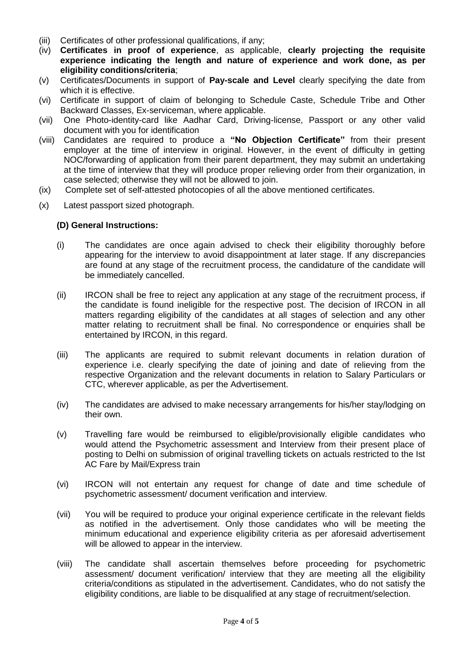- (iii) Certificates of other professional qualifications, if any;
- (iv) **Certificates in proof of experience**, as applicable, **clearly projecting the requisite experience indicating the length and nature of experience and work done, as per eligibility conditions/criteria**;
- (v) Certificates/Documents in support of **Pay-scale and Level** clearly specifying the date from which it is effective.
- (vi) Certificate in support of claim of belonging to Schedule Caste, Schedule Tribe and Other Backward Classes, Ex-serviceman, where applicable.
- (vii) One Photo-identity-card like Aadhar Card, Driving-license, Passport or any other valid document with you for identification
- (viii) Candidates are required to produce a **"No Objection Certificate"** from their present employer at the time of interview in original. However, in the event of difficulty in getting NOC/forwarding of application from their parent department, they may submit an undertaking at the time of interview that they will produce proper relieving order from their organization, in case selected; otherwise they will not be allowed to join.
- (ix) Complete set of self-attested photocopies of all the above mentioned certificates.
- (x) Latest passport sized photograph.

#### **(D) General Instructions:**

- (i) The candidates are once again advised to check their eligibility thoroughly before appearing for the interview to avoid disappointment at later stage. If any discrepancies are found at any stage of the recruitment process, the candidature of the candidate will be immediately cancelled.
- (ii) IRCON shall be free to reject any application at any stage of the recruitment process, if the candidate is found ineligible for the respective post. The decision of IRCON in all matters regarding eligibility of the candidates at all stages of selection and any other matter relating to recruitment shall be final. No correspondence or enquiries shall be entertained by IRCON, in this regard.
- (iii) The applicants are required to submit relevant documents in relation duration of experience i.e. clearly specifying the date of joining and date of relieving from the respective Organization and the relevant documents in relation to Salary Particulars or CTC, wherever applicable, as per the Advertisement.
- (iv) The candidates are advised to make necessary arrangements for his/her stay/lodging on their own.
- (v) Travelling fare would be reimbursed to eligible/provisionally eligible candidates who would attend the Psychometric assessment and Interview from their present place of posting to Delhi on submission of original travelling tickets on actuals restricted to the Ist AC Fare by Mail/Express train
- (vi) IRCON will not entertain any request for change of date and time schedule of psychometric assessment/ document verification and interview.
- (vii) You will be required to produce your original experience certificate in the relevant fields as notified in the advertisement. Only those candidates who will be meeting the minimum educational and experience eligibility criteria as per aforesaid advertisement will be allowed to appear in the interview.
- (viii) The candidate shall ascertain themselves before proceeding for psychometric assessment/ document verification/ interview that they are meeting all the eligibility criteria/conditions as stipulated in the advertisement. Candidates, who do not satisfy the eligibility conditions, are liable to be disqualified at any stage of recruitment/selection.